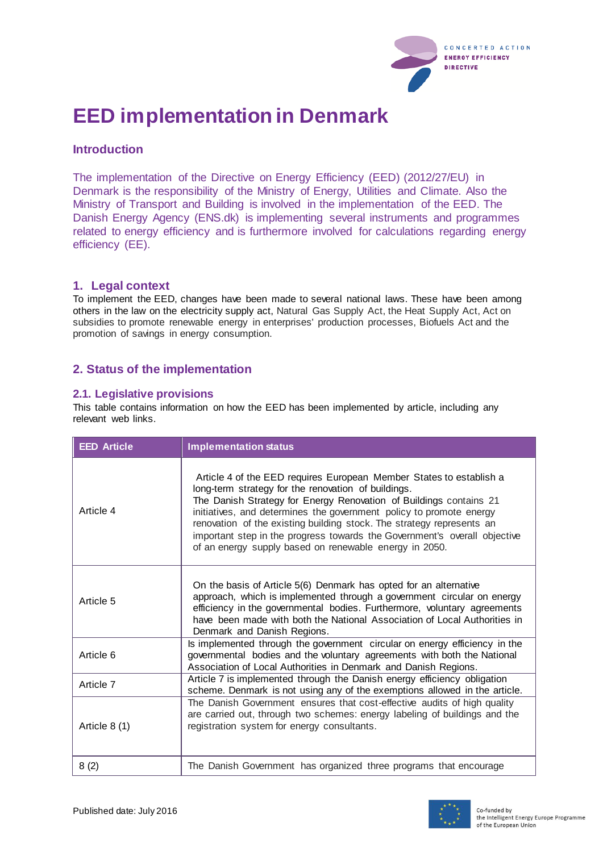

# **EED implementation in Denmark**

# **Introduction**

The implementation of the Directive on Energy Efficiency (EED) (2012/27/EU) in Denmark is the responsibility of the Ministry of Energy, Utilities and Climate. Also the Ministry of Transport and Building is involved in the implementation of the EED. The Danish Energy Agency (ENS.dk) is implementing several instruments and programmes related to energy efficiency and is furthermore involved for calculations regarding energy efficiency (EE).

## **1. Legal context**

To implement the EED, changes have been made to several national laws. These have been among others in the law on the electricity supply act, Natural Gas Supply Act, the Heat Supply Act, Act on subsidies to promote renewable energy in enterprises' production processes, Biofuels Act and the promotion of savings in energy consumption.

## **2. Status of the implementation**

#### **2.1. Legislative provisions**

This table contains information on how the EED has been implemented by article, including any relevant web links.

| <b>EED Article</b> | <b>Implementation status</b>                                                                                                                                                                                                                                                                                                                                                                                                                                                            |
|--------------------|-----------------------------------------------------------------------------------------------------------------------------------------------------------------------------------------------------------------------------------------------------------------------------------------------------------------------------------------------------------------------------------------------------------------------------------------------------------------------------------------|
| Article 4          | Article 4 of the EED requires European Member States to establish a<br>long-term strategy for the renovation of buildings.<br>The Danish Strategy for Energy Renovation of Buildings contains 21<br>initiatives, and determines the government policy to promote energy<br>renovation of the existing building stock. The strategy represents an<br>important step in the progress towards the Government's overall objective<br>of an energy supply based on renewable energy in 2050. |
| Article 5          | On the basis of Article 5(6) Denmark has opted for an alternative<br>approach, which is implemented through a government circular on energy<br>efficiency in the governmental bodies. Furthermore, voluntary agreements<br>have been made with both the National Association of Local Authorities in<br>Denmark and Danish Regions.                                                                                                                                                     |
| Article 6          | Is implemented through the government circular on energy efficiency in the<br>governmental bodies and the voluntary agreements with both the National<br>Association of Local Authorities in Denmark and Danish Regions.                                                                                                                                                                                                                                                                |
| Article 7          | Article 7 is implemented through the Danish energy efficiency obligation<br>scheme. Denmark is not using any of the exemptions allowed in the article.                                                                                                                                                                                                                                                                                                                                  |
| Article 8 (1)      | The Danish Government ensures that cost-effective audits of high quality<br>are carried out, through two schemes: energy labeling of buildings and the<br>registration system for energy consultants.                                                                                                                                                                                                                                                                                   |
| 8(2)               | The Danish Government has organized three programs that encourage                                                                                                                                                                                                                                                                                                                                                                                                                       |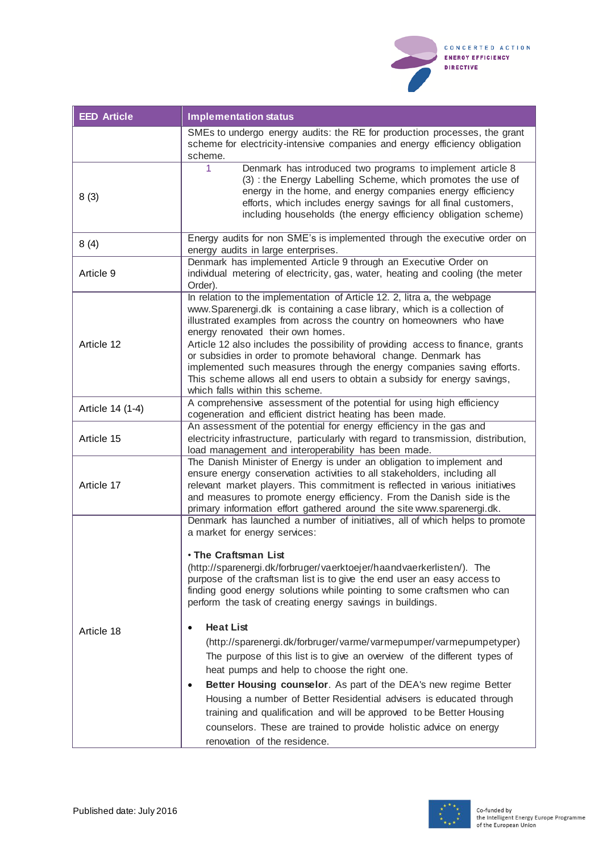

| <b>EED Article</b> | <b>Implementation status</b>                                                                                                                                                                                                                                                                                                                                                                                                                                                                                                                                                                                                                                                                                                                                                                                                                                                                                                                                                                |
|--------------------|---------------------------------------------------------------------------------------------------------------------------------------------------------------------------------------------------------------------------------------------------------------------------------------------------------------------------------------------------------------------------------------------------------------------------------------------------------------------------------------------------------------------------------------------------------------------------------------------------------------------------------------------------------------------------------------------------------------------------------------------------------------------------------------------------------------------------------------------------------------------------------------------------------------------------------------------------------------------------------------------|
|                    | SMEs to undergo energy audits: the RE for production processes, the grant<br>scheme for electricity-intensive companies and energy efficiency obligation<br>scheme.                                                                                                                                                                                                                                                                                                                                                                                                                                                                                                                                                                                                                                                                                                                                                                                                                         |
| 8(3)               | Denmark has introduced two programs to implement article 8<br>1<br>(3) : the Energy Labelling Scheme, which promotes the use of<br>energy in the home, and energy companies energy efficiency<br>efforts, which includes energy savings for all final customers,<br>including households (the energy efficiency obligation scheme)                                                                                                                                                                                                                                                                                                                                                                                                                                                                                                                                                                                                                                                          |
| 8(4)               | Energy audits for non SME's is implemented through the executive order on<br>energy audits in large enterprises.                                                                                                                                                                                                                                                                                                                                                                                                                                                                                                                                                                                                                                                                                                                                                                                                                                                                            |
| Article 9          | Denmark has implemented Article 9 through an Executive Order on<br>individual metering of electricity, gas, water, heating and cooling (the meter<br>Order).                                                                                                                                                                                                                                                                                                                                                                                                                                                                                                                                                                                                                                                                                                                                                                                                                                |
| Article 12         | In relation to the implementation of Article 12. 2, litra a, the webpage<br>www.Sparenergi.dk is containing a case library, which is a collection of<br>illustrated examples from across the country on homeowners who have<br>energy renovated their own homes.<br>Article 12 also includes the possibility of providing access to finance, grants<br>or subsidies in order to promote behavioral change. Denmark has<br>implemented such measures through the energy companies saving efforts.<br>This scheme allows all end users to obtain a subsidy for energy savings,<br>which falls within this scheme.                                                                                                                                                                                                                                                                                                                                                                             |
| Article 14 (1-4)   | A comprehensive assessment of the potential for using high efficiency<br>cogeneration and efficient district heating has been made.                                                                                                                                                                                                                                                                                                                                                                                                                                                                                                                                                                                                                                                                                                                                                                                                                                                         |
| Article 15         | An assessment of the potential for energy efficiency in the gas and<br>electricity infrastructure, particularly with regard to transmission, distribution,<br>load management and interoperability has been made.                                                                                                                                                                                                                                                                                                                                                                                                                                                                                                                                                                                                                                                                                                                                                                           |
| Article 17         | The Danish Minister of Energy is under an obligation to implement and<br>ensure energy conservation activities to all stakeholders, including all<br>relevant market players. This commitment is reflected in various initiatives<br>and measures to promote energy efficiency. From the Danish side is the<br>primary information effort gathered around the site www.sparenergi.dk.                                                                                                                                                                                                                                                                                                                                                                                                                                                                                                                                                                                                       |
| Article 18         | Denmark has launched a number of initiatives, all of which helps to promote<br>a market for energy services:<br><b>. The Craftsman List</b><br>(http://sparenergi.dk/forbruger/vaerktoejer/haandvaerkerlisten/). The<br>purpose of the craftsman list is to give the end user an easy access to<br>finding good energy solutions while pointing to some craftsmen who can<br>perform the task of creating energy savings in buildings.<br><b>Heat List</b><br>(http://sparenergi.dk/forbruger/varme/varmepumper/varmepumpetyper)<br>The purpose of this list is to give an overview of the different types of<br>heat pumps and help to choose the right one.<br>Better Housing counselor. As part of the DEA's new regime Better<br>٠<br>Housing a number of Better Residential advisers is educated through<br>training and qualification and will be approved to be Better Housing<br>counselors. These are trained to provide holistic advice on energy<br>renovation of the residence. |